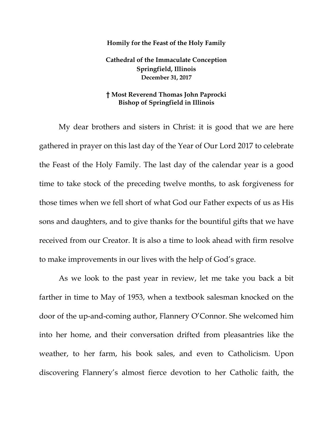## **Homily for the Feast of the Holy Family**

**Cathedral of the Immaculate Conception Springfield, Illinois December 31, 2017**

## **† Most Reverend Thomas John Paprocki Bishop of Springfield in Illinois**

My dear brothers and sisters in Christ: it is good that we are here gathered in prayer on this last day of the Year of Our Lord 2017 to celebrate the Feast of the Holy Family. The last day of the calendar year is a good time to take stock of the preceding twelve months, to ask forgiveness for those times when we fell short of what God our Father expects of us as His sons and daughters, and to give thanks for the bountiful gifts that we have received from our Creator. It is also a time to look ahead with firm resolve to make improvements in our lives with the help of God's grace.

As we look to the past year in review, let me take you back a bit farther in time to May of 1953, when a textbook salesman knocked on the door of the up-and-coming author, Flannery O'Connor. She welcomed him into her home, and their conversation drifted from pleasantries like the weather, to her farm, his book sales, and even to Catholicism. Upon discovering Flannery's almost fierce devotion to her Catholic faith, the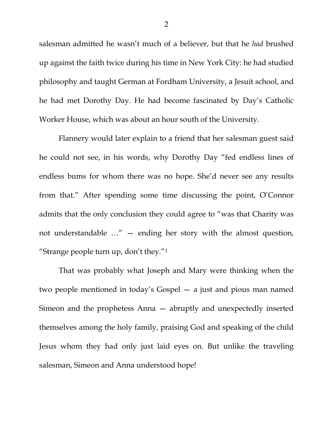salesman admitted he wasn't much of a believer, but that he *had* brushed up against the faith twice during his time in New York City: he had studied philosophy and taught German at Fordham University, a Jesuit school, and he had met Dorothy Day. He had become fascinated by Day's Catholic Worker House, which was about an hour south of the University.

Flannery would later explain to a friend that her salesman guest said he could not see, in his words, why Dorothy Day "fed endless lines of endless bums for whom there was no hope. She'd never see any results from that." After spending some time discussing the point, O'Connor admits that the only conclusion they could agree to "was that Charity was not understandable …" — ending her story with the almost question, "Strange people turn up, don't they."[1](#page-5-0)

That was probably what Joseph and Mary were thinking when the two people mentioned in today's Gospel — a just and pious man named Simeon and the prophetess Anna — abruptly and unexpectedly inserted themselves among the holy family, praising God and speaking of the child Jesus whom they had only just laid eyes on. But unlike the traveling salesman, Simeon and Anna understood hope!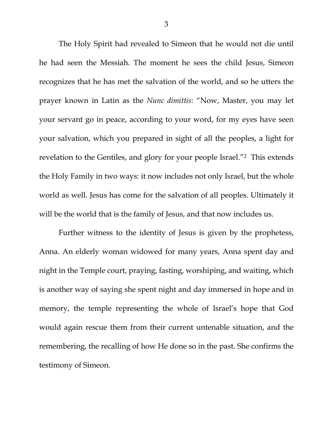The Holy Spirit had revealed to Simeon that he would not die until he had seen the Messiah. The moment he sees the child Jesus, Simeon recognizes that he has met the salvation of the world, and so he utters the prayer known in Latin as the *Nunc dimittis*: "Now, Master, you may let your servant go in peace, according to your word, for my eyes have seen your salvation, which you prepared in sight of all the peoples, a light for revelation to the Gentiles, and glory for your people Israel."[2](#page-5-1) This extends the Holy Family in two ways: it now includes not only Israel, but the whole world as well. Jesus has come for the salvation of all peoples. Ultimately it will be the world that is the family of Jesus, and that now includes us.

Further witness to the identity of Jesus is given by the prophetess, Anna. An elderly woman widowed for many years, Anna spent day and night in the Temple court, praying, fasting, worshiping, and waiting, which is another way of saying she spent night and day immersed in hope and in memory, the temple representing the whole of Israel's hope that God would again rescue them from their current untenable situation, and the remembering, the recalling of how He done so in the past. She confirms the testimony of Simeon.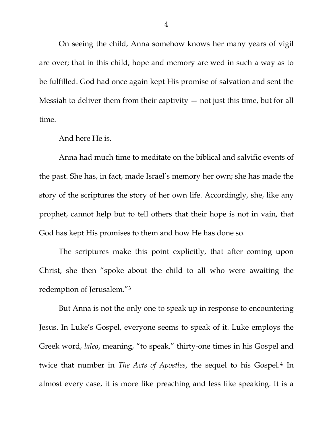On seeing the child, Anna somehow knows her many years of vigil are over; that in this child, hope and memory are wed in such a way as to be fulfilled. God had once again kept His promise of salvation and sent the Messiah to deliver them from their captivity  $-$  not just this time, but for all time.

And here He is.

Anna had much time to meditate on the biblical and salvific events of the past. She has, in fact, made Israel's memory her own; she has made the story of the scriptures the story of her own life. Accordingly, she, like any prophet, cannot help but to tell others that their hope is not in vain, that God has kept His promises to them and how He has done so.

The scriptures make this point explicitly, that after coming upon Christ, she then "spoke about the child to all who were awaiting the redemption of Jerusalem.["3](#page-5-2)

But Anna is not the only one to speak up in response to encountering Jesus. In Luke's Gospel, everyone seems to speak of it. Luke employs the Greek word, *laleo*, meaning, "to speak," thirty-one times in his Gospel and twice that number in *The Acts of Apostles*, the sequel to his Gospel.[4](#page-5-3) In almost every case, it is more like preaching and less like speaking. It is a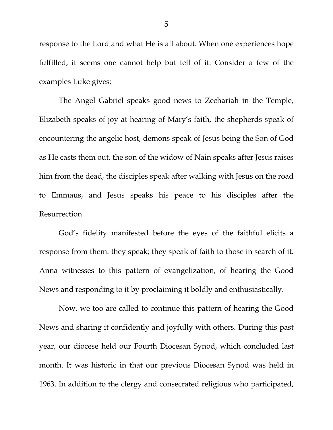response to the Lord and what He is all about. When one experiences hope fulfilled, it seems one cannot help but tell of it. Consider a few of the examples Luke gives:

The Angel Gabriel speaks good news to Zechariah in the Temple, Elizabeth speaks of joy at hearing of Mary's faith, the shepherds speak of encountering the angelic host, demons speak of Jesus being the Son of God as He casts them out, the son of the widow of Nain speaks after Jesus raises him from the dead, the disciples speak after walking with Jesus on the road to Emmaus, and Jesus speaks his peace to his disciples after the Resurrection.

God's fidelity manifested before the eyes of the faithful elicits a response from them: they speak; they speak of faith to those in search of it. Anna witnesses to this pattern of evangelization, of hearing the Good News and responding to it by proclaiming it boldly and enthusiastically.

Now, we too are called to continue this pattern of hearing the Good News and sharing it confidently and joyfully with others. During this past year, our diocese held our Fourth Diocesan Synod, which concluded last month. It was historic in that our previous Diocesan Synod was held in 1963. In addition to the clergy and consecrated religious who participated,

5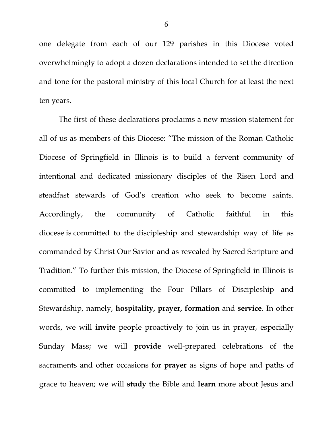one delegate from each of our 129 parishes in this Diocese voted overwhelmingly to adopt a dozen declarations intended to set the direction and tone for the pastoral ministry of this local Church for at least the next ten years.

<span id="page-5-3"></span><span id="page-5-2"></span><span id="page-5-1"></span><span id="page-5-0"></span>The first of these declarations proclaims a new mission statement for all of us as members of this Diocese: "The mission of the Roman Catholic Diocese of Springfield in Illinois is to build a fervent community of intentional and dedicated missionary disciples of the Risen Lord and steadfast stewards of God's creation who seek to become saints. Accordingly, the community of Catholic faithful in this diocese is committed to the discipleship and stewardship way of life as commanded by Christ Our Savior and as revealed by Sacred Scripture and Tradition." To further this mission, the Diocese of Springfield in Illinois is committed to implementing the Four Pillars of Discipleship and Stewardship, namely, **hospitality, prayer, formation** and **service**. In other words, we will **invite** people proactively to join us in prayer, especially Sunday Mass; we will **provide** well-prepared celebrations of the sacraments and other occasions for **prayer** as signs of hope and paths of grace to heaven; we will **study** the Bible and **learn** more about Jesus and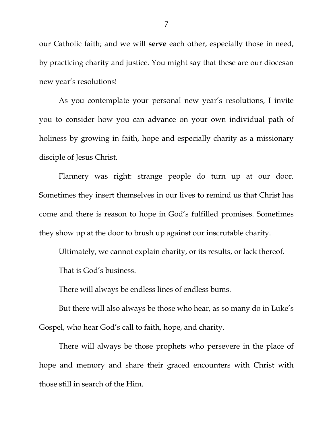our Catholic faith; and we will **serve** each other, especially those in need, by practicing charity and justice. You might say that these are our diocesan new year's resolutions!

As you contemplate your personal new year's resolutions, I invite you to consider how you can advance on your own individual path of holiness by growing in faith, hope and especially charity as a missionary disciple of Jesus Christ.

Flannery was right: strange people do turn up at our door. Sometimes they insert themselves in our lives to remind us that Christ has come and there is reason to hope in God's fulfilled promises. Sometimes they show up at the door to brush up against our inscrutable charity.

Ultimately, we cannot explain charity, or its results, or lack thereof.

That is God's business.

There will always be endless lines of endless bums.

But there will also always be those who hear, as so many do in Luke's Gospel, who hear God's call to faith, hope, and charity.

There will always be those prophets who persevere in the place of hope and memory and share their graced encounters with Christ with those still in search of the Him.